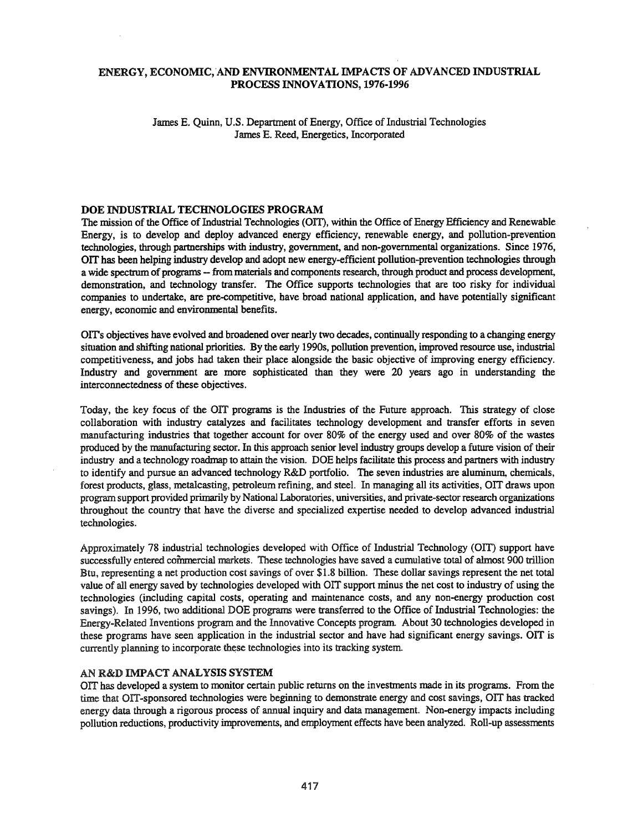# ENERGY, ECONOMIC, AND ENVIRONMENTAL IMPACTS OF ADVANCED INDUSTRIAL PROCESS INNOVATIONS, 1976-1996

James E. Quinn, U.S. Department of Energy, Office of Industrial Technologies James E. Reed, Energetics, Incorporated

## DOE INDUSTRIAL TECHNOLOGIES PROGRAM

The mission of the Office of Industrial Technologies (OIT), within the Office of Energy Efficiency and Renewable Energy, is to develop and deploy advanced energy efficiency, renewable energy, and pollution-prevention technologies, through partnerships with industry, government, and non-governmental organizations. Since 1976, OIT has been helping industry develop and adopt new energy-efficient pollution-prevention technologies through a wide spectrum of programs - from materials and components research, through product and process development, demonstration, and technology transfer. The Office supports technologies that are too risky for individual companies to undertake, are pre-competitive, have broad national application, and have potentially significant energy, economic and environmental benefits.

OrTs objectives have evolved and broadened over nearly two decades, continually responding to a changing energy situation and shifting national priorities. By the early 1990s, pollution prevention, improved resource use, industrial competitiveness, and jobs had taken their place alongside the basic objective of improving energy efficiency. Industry and government are more sophisticated than they were 20 years ago in understanding the interconnectedness of these objectives.

Today, the key focus of the OIT programs is the Industries of the Future approach. This strategy of close collaboration with industry catalyzes and facilitates technology development and transfer efforts in seven manufacturing industries that together account for over 80% of the energy used and over 80% of the wastes produced by the manufacturing sector. In this approach senior level industry groups develop a future vision of their industry and a technology roadmap to attain the vision. DOE helps facilitate this process and partners with industry to identify and pursue an advanced technology R&D portfolio. The seven industries are aluminum. chemicals, forest products, glass, metalcasting, petroleum refining, and steel. In managing all its activities, OIT draws upon program support provided primarily by National Laboratories, universities, and private-sector research organizations throughout the country that have the diverse and specialized expertise needed to develop advanced industrial technologies.

Approximately 78 industrial technologies developed with Office of Industrial Technology (011) support have successfully entered commercial markets. These technologies have saved a cumulative total of almost 900 trillion Btu, representing a net production cost savings of over \$1.8 billion. These dollar savings represent the net total value of all energy saved by technologies developed with OIT support minus the net cost to industry of using the technologies (including capital costs, operating and maintenance costs, and any non-energy production cost savings). In 1996, two additional DOE programs were transferred to the Office of Industrial Technologies: the Energy-Related Inventions program and the Innovative Concepts program. About 30 technologies developed in these programs have seen application in the industrial sector and have had significant energy savings. OIT is currently planning to incorporate these technologies into its tracking system.

### AN R&D IMPACT ANALYSIS SYSTEM

OIT has developed a system to monitor certain public returns on the investments made in its programs. From the time that OIT-sponsored technologies were beginning to demonstrate energy and cost savings, OIT has tracked energy data through a rigorous process of annual inquiry and data management. Non-energy impacts including pollution reductions, productivity improvements, and employment effects have been analyzed. Roll-up assessments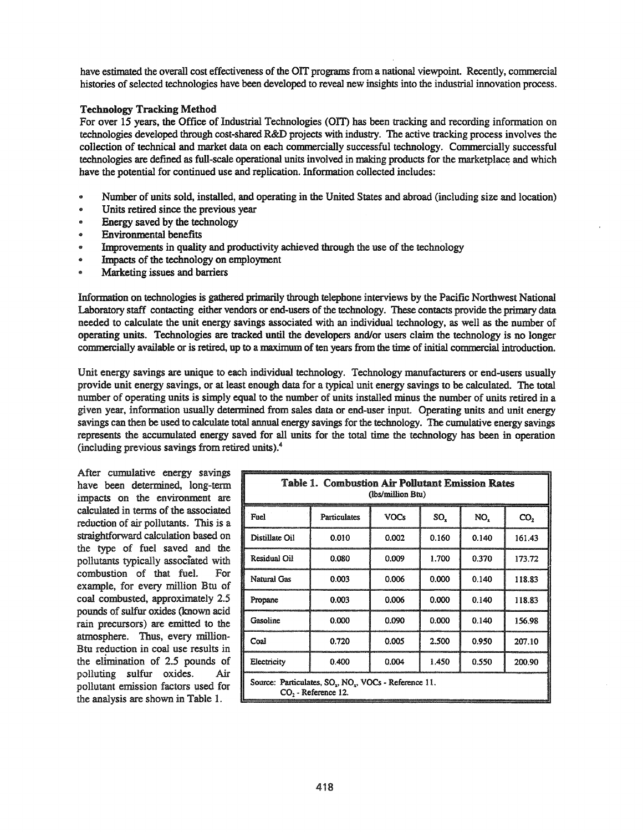have estimated the overall cost effectiveness of the OIT programs from a national viewpoint. Recently, commercial histories of selected technologies have been developed to reveal new insights into the industrial innovation process.

## Technology Tracking Method

For over 15 years, the Office of Industrial Technologies (OIT) has been tracking and recording information on technologies developed through cost-shared R&D projects with industry. The active tracking process involves the collection of technical and market data on each commercially successful technology. Commercially successful technologies are defined as full-scale operational units involved in making products for the marketplace and which have the potential for continued use and replication. Information collected includes:

- .. Number of units sold, installed, and operating in the United States and abroad (including size and location)
- Units retired since the previous year
- Energy saved by the technology
- Environmental benefits
- Improvements in quality and productivity achieved through the use of the technology
- Impacts of the technology on employment
- Marketing issues and barriers

Information on technologies is gathered primarily through telephone interviews by the Pacific Northwest National Laboratory staff contacting either vendors or end-users of the technology. These contacts provide the primary data needed to calculate the unit energy savings associated with an individual technology, as well as the number of operating units. Technologies are tracked until the developers and/or users claim the technology is no longer commercially available or is retired, up to a maximum of ten years from the time of initial commercial introduction.

Unit energy savings are unique to each individual technology. Technology manufacturers or end-users usually provide unit energy savings, or at least enough data for a typical unit energy savings to be calculated. The total number of operating units is simply equal to the number of units installed minus the number of units retired in a given year, information usually determined from sales data or end-user input. Operating units and unit energy savings can then be used to calculate total annual energy savings for the technology. The cumulative energy savings represents the accumulated energy saved for all units for the total time the technology has been in operation (including previous savings from retired units).4

After cumulative energy savings have been determined, long-term impacts on the environment are calculated in terms of the associated reduction of air pollutants. This is a straightforward calculation based on the type of fuel saved and the pollutants typically associated with combustion of that fuel. For example, for every million Btu of coal combusted, approximately 2.5 pounds of sulfur oxides (known acid rain precursors) are emitted to the atmosphere. Thus, every million-Btu reduction in coal use results in the elimination of 2.5 pounds of polluting sulfur oxides. Air pollutant emission factors used for the analysis are shown in Table 1.

| <b>Table 1. Combustion Air Pollutant Emission Rates</b><br>(lbs/million Btu)                                      |              |             |                 |       |                 |  |  |  |  |
|-------------------------------------------------------------------------------------------------------------------|--------------|-------------|-----------------|-------|-----------------|--|--|--|--|
| Fuel                                                                                                              | Particulates | <b>VOCs</b> | SO <sub>x</sub> | NO,   | CO <sub>2</sub> |  |  |  |  |
| Distillate Oil                                                                                                    | 0.010        | 0.002       | 0.160           | 0.140 | 161.43          |  |  |  |  |
| <b>Residual Oil</b>                                                                                               | 0.080        | 0.009       | 1.700           | 0.370 | 173.72          |  |  |  |  |
| Natural Gas                                                                                                       | 0.003        | 0.006       | 0.000           | 0.140 | 118.83          |  |  |  |  |
| Propane                                                                                                           | 0.003        | 0.006       | 0.000           | 0.140 | 118.83          |  |  |  |  |
| Gasoline                                                                                                          | 0.000        | 0.090       | 0.000           | 0.140 | 156.98          |  |  |  |  |
| Coal                                                                                                              | 0.720        | 0.005       | 2.500           | 0.950 | 207.10          |  |  |  |  |
| Electricity                                                                                                       | 0.400        | 0.004       | 1.450           | 0.550 | 200.90          |  |  |  |  |
| Source: Particulates, SO <sub>2</sub> , NO <sub>2</sub> , VOCs - Reference 11.<br>CO <sub>2</sub> - Reference 12. |              |             |                 |       |                 |  |  |  |  |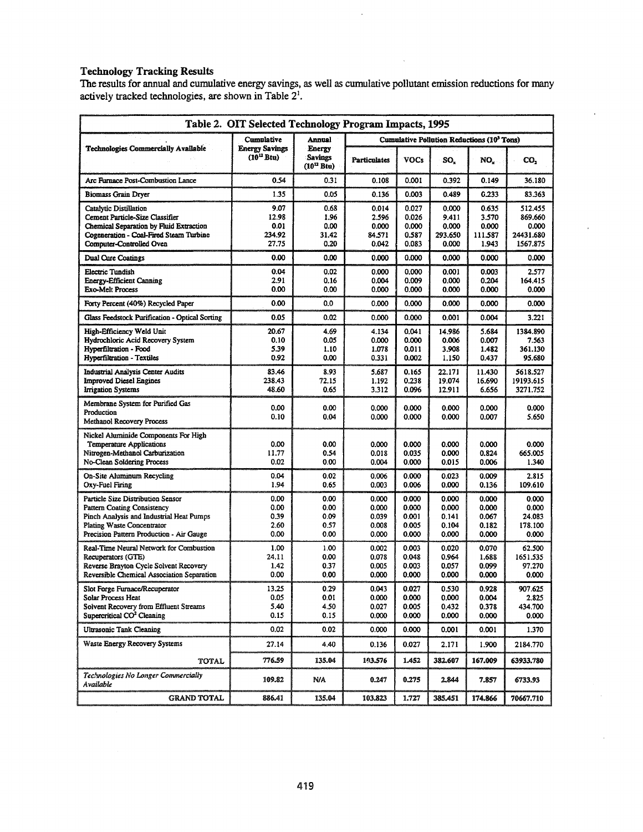## Technology Tracking Results

The results for annual and cumulative energy savings, as well as cumulative pollutant emission reductions for many actively tracked technologies, are shown in Table  $2<sup>1</sup>$ .

| Table 2. OIT Selected Technology Program Impacts, 1995                                                                                                                                        |                                                        |                                                              |                                                        |                                           |                                             |                                             |                                                      |  |  |  |
|-----------------------------------------------------------------------------------------------------------------------------------------------------------------------------------------------|--------------------------------------------------------|--------------------------------------------------------------|--------------------------------------------------------|-------------------------------------------|---------------------------------------------|---------------------------------------------|------------------------------------------------------|--|--|--|
|                                                                                                                                                                                               | Cumulative<br><b>Energy Savings</b><br>$(10^{12}$ Btu) | Annual<br>Energy<br><b>Savings</b><br>(10 <sup>12</sup> Btu) | Cumulative Pollution Reductions (10 <sup>3</sup> Tons) |                                           |                                             |                                             |                                                      |  |  |  |
| Technologies Commercially Available                                                                                                                                                           |                                                        |                                                              | <b>Particulates</b>                                    | <b>VOCs</b>                               | SO,                                         | NO.                                         | CO,                                                  |  |  |  |
| Arc Furnace Post-Combustion Lance                                                                                                                                                             | 0.54                                                   | 0.31                                                         | 0.108                                                  | 0.001                                     | 0.392                                       | 0.149                                       | 36.180                                               |  |  |  |
| <b>Biomass Grain Dryer</b>                                                                                                                                                                    | 1.35                                                   | 0.05                                                         | 0.136                                                  | 0.003                                     | 0.489                                       | 0.233                                       | 83.363                                               |  |  |  |
| Catalytic Distillation<br>Cement Particle-Size Classifier<br>Chemical Separation by Fluid Extraction<br>Cogeneration - Coal-Fired Steam Turbine<br>Computer-Controlled Oven                   | 9.07<br>12.98<br>0.01<br>234.92<br>27.75               | 0.68<br>1.96<br>0.00<br>31.42<br>0.20                        | 0.014<br>2.596<br>0.000<br>84.571<br>0.042             | 0.027<br>0.026<br>0.000<br>0.587<br>0.083 | 0.000<br>9.411<br>0.000<br>293.650<br>0.000 | 0.635<br>3.570<br>0.000<br>111.587<br>1.943 | 512.455<br>869.660<br>0.000<br>24431.680<br>1567.875 |  |  |  |
| <b>Dual Cure Coatings</b>                                                                                                                                                                     | 0.00                                                   | 0.00                                                         | 0.000                                                  | 0.000                                     | 0.000                                       | 0.000                                       | 0.000                                                |  |  |  |
| <b>Electric Tundish</b><br><b>Energy-Efficient Canning</b><br><b>Exo-Melt Process</b>                                                                                                         | 0.04<br>2.91<br>0.00                                   | 0.02<br>0.16<br>0.00                                         | 0.000<br>0.004<br>0.000                                | 0.000<br>0.009<br>0.000                   | 0.001<br>0.000<br>0.000                     | 0.003<br>0.204<br>0.000                     | 2.577<br>164.415<br>0.000                            |  |  |  |
| Forty Percent (40%) Recycled Paper                                                                                                                                                            | 0.00                                                   | 0.0                                                          | 0.000                                                  | 0.000                                     | 0.000                                       | 0.000                                       | 0.000                                                |  |  |  |
| Glass Feedstock Purification - Optical Sorting                                                                                                                                                | 0.05                                                   | 0.02                                                         | 0.000                                                  | 0.000                                     | 0.001                                       | 0.004                                       | 3.221                                                |  |  |  |
| High-Efficiency Weld Unit<br>Hydrochloric Acid Recovery System<br>Hyperfiltration - Food<br><b>Hyperfiltration - Textiles</b>                                                                 | 20.67<br>0.10<br>5.39<br>0.92                          | 4.69<br>0.05<br>1.10<br>0.00                                 | 4.134<br>0.000<br>1.078<br>0.331                       | 0.041<br>0.000<br>0.011<br>0.002          | 14.986<br>0.006<br>3.908<br>1.150           | 5.684<br>0.007<br>1.482<br>0.437            | 1384.890<br>7.563<br>361.130<br>95.680               |  |  |  |
| <b>Industrial Analysis Center Audits</b><br><b>Improved Diesel Engines</b><br><b>Irrigation Systems</b>                                                                                       | 83.46<br>238.43<br>48.60                               | 8.93<br>72.15<br>0.65                                        | 5.687<br>1.192<br>3.312                                | 0.165<br>0.238<br>0.096                   | 22.171<br>19.074<br>12.911                  | 11.430<br>16.690<br>6.656                   | 5618.527<br>19193.615<br>3271.752                    |  |  |  |
| Membrane System for Purified Gas<br>Production<br>Methanol Recovery Process                                                                                                                   | 0.00<br>0.10                                           | 0.00<br>0.04                                                 | 0.000<br>0.000                                         | 0.000<br>0.000                            | 0.000<br>0.000                              | 0.000<br>0.007                              | 0.000<br>5.650                                       |  |  |  |
| Nickel Aluminide Components For High<br><b>Temperature Applications</b><br>Nitrogen-Methanol Carburization<br><b>No-Clean Soldering Process</b>                                               | 0.00<br>11.77<br>0.02                                  | 0.00<br>0.54<br>0.00                                         | 0.000<br>0.018<br>0.004                                | 0.000<br>0.035<br>0.000                   | 0.000<br>0.000<br>0.015                     | 0.000<br>0.824<br>0.006                     | 0.000<br>665.005<br>1.340                            |  |  |  |
| On-Site Aluminum Recycling<br>Oxy-Fuel Firing                                                                                                                                                 | 0.04<br>1.94                                           | 0.02<br>0.65                                                 | 0.006<br>0.003                                         | 0.000<br>0.006                            | 0.023<br>0.000                              | 0.009<br>0.136                              | 2.815<br>109.610                                     |  |  |  |
| Particle Size Distribution Sensor<br><b>Pattern Coating Consistency</b><br>Pinch Analysis and Industrial Heat Pumps<br>Plating Waste Concentrator<br>Precision Pattern Production - Air Gauge | 0.00<br>0.00<br>0.39<br>2.60<br>0.00                   | 0.00<br>0.00<br>0.09<br>0.57<br>0.00                         | 0.000<br>0.000<br>0.039<br>0.008<br>0.000              | 0.000<br>0.000<br>0.001<br>0.005<br>0.000 | 0.000<br>0.000<br>0.141<br>0.104<br>0.000   | 0.000<br>0.000<br>0.067<br>0.182<br>0.000   | 0.000<br>0.000<br>24.083<br>178.100<br>0.000         |  |  |  |
| Real-Time Neural Network for Combustion<br>Recuperators (GTE)<br>Reverse Brayton Cycle Solvent Recovery<br>Reversible Chemical Association Separation                                         | 1.00<br>24.11<br>1.42<br>0.00                          | 1.00<br>0.00<br>0.37<br>0.00                                 | 0.002<br>0.078<br>0.005<br>0.000                       | 0.003<br>0.048<br>0.003<br>0.000          | 0.020<br>0.964<br>0.057<br>0.000            | 0.070<br>1.688<br>0.099<br>0.000            | 62.500<br>1651.535<br>97.270<br>0.000                |  |  |  |
| Slot Forge Furnace/Recuperator<br>Solar Process Heat<br>Solvent Recovery from Effluent Streams<br>Supercritical CO <sup>2</sup> Cleaning                                                      | 13.25<br>0.05<br>5.40<br>0.15                          | 0.29<br>0.01<br>4.50<br>0.15                                 | 0.043<br>0.000<br>0.027<br>0.000                       | 0.027<br>0.000<br>0.005<br>0.000          | 0.530<br>0.000<br>0.432<br>0.000            | 0.928<br>0.004<br>0.378<br>0.000            | 907.625<br>2.825<br>434.700<br>0.000                 |  |  |  |
| Ultrasonic Tank Cleaning                                                                                                                                                                      | 0.02                                                   | 0.02                                                         | 0.000                                                  | 0.000                                     | 0.001                                       | 0.001                                       | 1.370                                                |  |  |  |
| Waste Energy Recovery Systems                                                                                                                                                                 | 27.14                                                  | 4,40                                                         | 0.136                                                  | 0.027                                     | 2.171                                       | 1.900                                       | 2184.770                                             |  |  |  |
| <b>TOTAL</b>                                                                                                                                                                                  | 776.59                                                 | 135.04                                                       | 193.576                                                | 1.452                                     | 382.607                                     | 167.009                                     | 63933.780                                            |  |  |  |
| Technologies No Longer Commercially<br>Available                                                                                                                                              | 109.82                                                 | N/A                                                          | 0.247                                                  | 0.275                                     | 2.844                                       | 7.857                                       | 6733.93                                              |  |  |  |
| GRAND TOTAL                                                                                                                                                                                   | 886.41                                                 | 135.04                                                       | 103.823                                                | 1.727                                     | 385.451                                     | 174.866                                     | 70667.710                                            |  |  |  |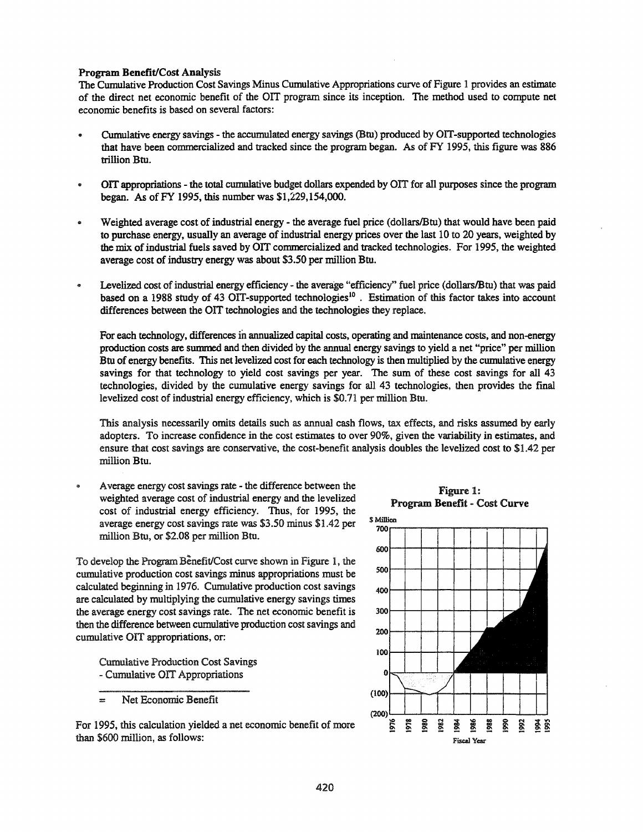### Program Benefit/Cost Analysis

The Cumulative Production Cost Savings Minus Cumulative Appropriations curve of Figure 1 provides an estimate of the direct net economic benefit of the OIT program since its inception. The method used to compute net economic benefits is based on several factors:

- Cumulative energy savings the accumulated energy savings (Btu) produced by OIT-supported technologies that have been commercialized and tracked since the program began. As of FY 1995, this figure was 886 trillion Btu.
- OIT appropriations the total cumulative budget dollars expended by OIT for all purposes since the program began. As ofFY 1995, this number was \$1,229,154,000.
- Weighted average cost of industrial energy the average fuel price (dollars/Btu) that would have been paid to purchase energy, usually an average of industrial energy prices over the last 10 to 20 years, weighted by the mix ofindustrial fuels saved by OIT commercialized and tracked technologies. For 1995, the weighted average cost of industry energy was about \$3.50 per million Btu.
- Levelized cost of industrial energy efficiency the average "efficiency" fuel price (dollars/Btu) that was paid based on a 1988 study of 43 OIT-supported technologies<sup>10</sup>. Estimation of this factor takes into account differences between the OIT technologies and the technologies they replace.

For each technology, differences in annualized capital costs, operating and maintenance costs, and non-energy production costs are summed and then divided by the annual energy savings to yield a net "price" per million Btu of energy benefits. This net levelized cost for each technology is then multiplied by the cumulative energy savings for that technology to yield cost savings per year. The sum of these cost savings for all 43 technologies, divided by the cumulative energy savings for all 43 technologies, then provides the final levelized cost of industrial energy efficiency, which is \$0.71 per million Btu.

This analysis necessarily omits details such as annual cash flows, tax effects, and risks assumed by early adopters. To increase confidence in the cost estimates to over 90%, given the variability in estimates, and ensure that cost savings are conservative, the cost-benefit analysis doubles the levelized cost to \$1.42 per million Btu.

Average energy cost savings rate - the difference between the weighted average cost of industrial energy and the levelized cost of industrial energy efficiency. Thus, for 1995, the average energy cost savings rate was \$3.50 minus \$1.42 per million Btu, or \$2.08 per million Btu.

To develop the Program Benefit/Cost curve shown in Figure 1, the cumulative production cost savings minus appropriations must be calculated beginning in 1976. Cumulative production cost savings are calculated by multiplying the cumulative energy savings times the average energy cost savings rate. The net economic benefit is then the difference between cumulative production cost savings and cumulative OIT appropriations, or:

Cumulative Production Cost Savings - Cumulative OIT Appropriations

= Net Economic Benefit

For 1995, this calculation yielded a net economic benefit of more than \$600 million, as follows:



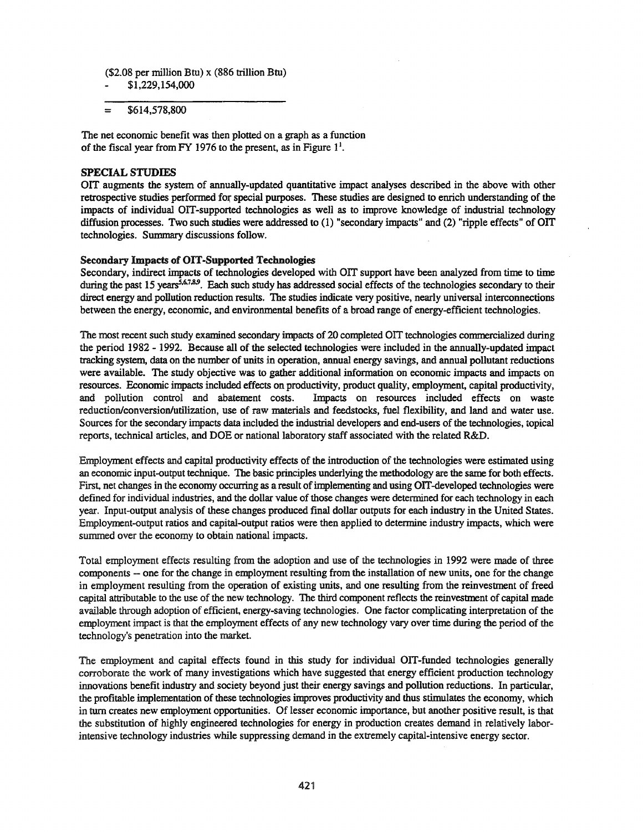(\$2.08 per million Btu) x (886 trillion Btu)

\$1,229,154,000

 $=$  \$614,578,800

The net economic benefit was then plotted on a graph as a function of the fiscal year from FY 1976 to the present, as in Figure  $1<sup>1</sup>$ .

# **SPECIAL** STUDIES

OIT augments the system of annually-updated quantitative impact analyses described in the above with other retrospective studies performed for special purposes. These studies are designed to enrich understanding of the impacts of individual OIT-supported technologies as well as to improve knowledge of industrial technology diffusion processes. Two such studies were addressed to (1) "secondary impacts" and (2) "ripple effects" of OIT technologies. Summary discussions follow.

# Secondary Impacts of OIT-Supported Technologies

Secondary, indirect impacts of technologies developed with OIT support have been analyzed from time to time during the past 15 years<sup>5,6,7,8,9</sup>. Each such study has addressed social effects of the technologies secondary to their direct energy and pollution reduction results. The studies indicate very positive, nearly universal interconnections between the energy, economic, and environmental benefits of a broad range of energy-efficient technologies.

The most recent such study examined secondary impacts of 20 completed OIT technologies commercialized during the period 1982 - 1992. Because all of the selected technologies were included in the annually-updated impact tracking system, data on the number of units in operation, annual energy savings, and annual pollutant reductions were available. The study objective was to gather additional information on economic impacts and impacts on resources. Economic impacts included effects on productivity, product quality, employment, capital productivity, and pollution control and abatement costs. Impacts on resources included effects on waste reduction/conversion/utilization, use of raw materials and feedstocks, fuel flexibility, and land and water use. Sources for the secondary impacts data included the industrial developers and end-users ofthe technologies, topical reports, technical articles, and DOE or national laboratory staff associated with the related R&D.

Employment effects and capital productivity effects of the introduction of the technologies were estimated using an economic input-output technique. The basic principles underlying the methodology are the same for both effects. First, net changes in the economy occurring as a result of implementing and using OIT-developed technologies were defined for individual industries, and the dollar value of those changes were determined for each technology in each year. Input-output analysis of these changes produced final dollar outputs for each industry in the United States. Employment-output ratios and capital-output ratios were then applied to determine industry impacts, which were summed over the economy to obtain national impacts.

Total employment effects resulting from the adoption and use of the technologies in 1992 were made of three components - one for the change in employment resulting from the installation of new units, one for the change in employment resulting from the operation of existing units, and one resulting from the reinvestment of freed capital attributable to the use of the new technology. The third component reflects the reinvestment of capital made available through adoption of efficient, energy-saving technologies. One factor complicating interpretation of the employment impact is that the employment effects of any new technology vary over time during the period of the technology's penetration into the market.

The employment and capital effects found in this study for individual OIT-funded technologies generally corroborate the work of many investigations which have suggested that energy efficient production technology innovations benefit industry and society beyond just their energy savings and pollution reductions. In particular, the profitable implementation of these technologies improves productivity and thus stimulates the economy, which in turn creates new employment opportunities. Of lesser economic importance, but another positive result, is that the substitution of highly engineered technologies for energy in production creates demand in relatively laborintensive technology industries while suppressing demand in the extremely capital-intensive energy sector.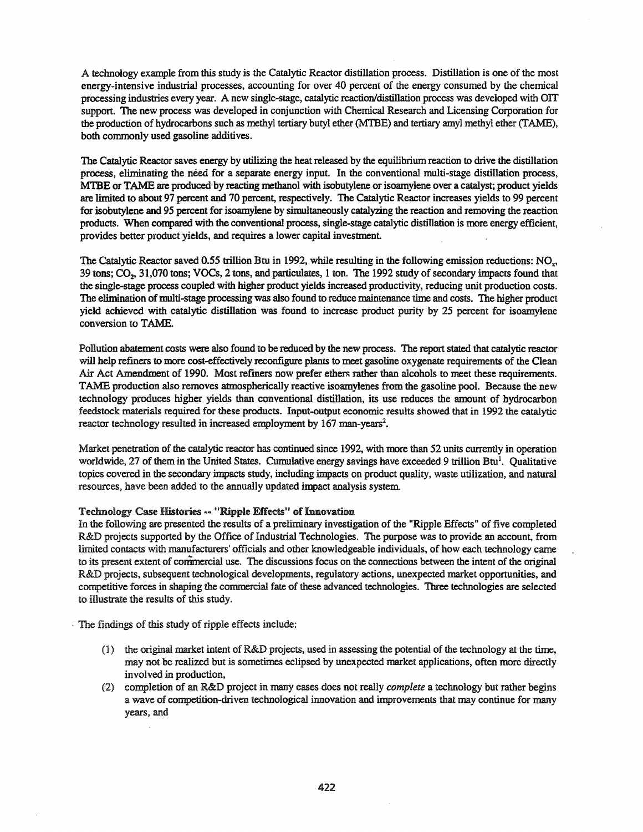A technology example from this study is the Catalytic Reactor distillation process. Distillation is one of the most energy-intensive industrial processes, accounting for over 40 percent of the energy consumed by the chemical processing industries every year. A new single-stage, catalytic reaction/distillation process was developed with OIT support. The new process was developed in conjunction with Chemical Research and Licensing Corporation for the production of hydrocarbons such as methyl tertiary butyl ether (MTBE) and tertiary amyl methyl ether (TAME), both commonly used gasoline additives.

The Catalytic Reactor saves energy by utilizing the heat released by the equilibrium reaction to drive the distillation process, eliminating the need for a separate energy input. In the conventional multi-stage distillation process, MTBE or TAME are produced by reacting methanol with isobutylene or isoamylene over a catalyst; product yields are limited to about 97 percent and 70 percent, respectively. The Catalytic Reactor increases yields to 99 percent for isobutylene and 95 percent for isoamylene by simultaneously catalyzing the reaction and removing the reaction products. When compared with the conventional process, single-stage catalytic distillation is more energy efficient, provides better product yields, and requires a lower capital investment

The Catalytic Reactor saved 0.55 trillion Btu in 1992, while resulting in the following emission reductions: NO., 39 tons; CO<sub>2</sub>, 31,070 tons; VOCs, 2 tons, and particulates, 1 ton. The 1992 study of secondary impacts found that the single-stage process coupled with higher product yields increased productivity, reducing unit production costs. The elimination of multi-stage processing was also found to reduce maintenance time and costs. The higher product yield achieved with catalytic distillation was found to increase product purity by 25 percent for isoamylene conversion to TAME.

Pollution abatement costs were also found to be reduced by the new process. The report stated that catalytic reactor will help refiners to more cost-effectively reconfigure plants to meet gasoline oxygenate requirements of the Clean Air Act Amendment of 1990. Most refiners now prefer ethers rather than alcohols to meet these requirements. TAME production also removes atmospherically reactive isoamylenes from the gasoline pool. Because the new technology produces higher yields than conventional distillation, its use reduces the amount of hydrocarbon feedstock materials required for these products. Input-output economic results showed that in 1992 the catalytic reactor technology resulted in increased employment by 167 man-years<sup>2</sup>.

Market penetration of the catalytic reactor has continued since 1992, with more than 52 units currently in operation worldwide, 27 of them in the United States. Cumulative energy savings have exceeded 9 trillion Btu<sup>1</sup>. Qualitative topics covered in the secondary impacts study, including impacts on product quality, waste utilization, and natural resources, have been added to the annually updated impact analysis system.

# Technology Case Histories -- "Ripple Effects" of Innovation

In the following are presented the results of a preliminary investigation of the "Ripple Effects" of five completed R&D projects supported by the Office of Industrial Technologies. The purpose was to provide an account, from limited contacts with manufacturers' officials and other knowledgeable individuals, of how each technology came to its present extent of commercial use. The discussions focus on the connections between the intent of the original R&D projects, subsequent technological developments, regulatory actions, unexpected market opportunities, and competitive forces in shaping the commercial fate of these advanced technologies. Three technologies are selected to illustrate the results of this study.

. The findings of this study of ripple effects include:

- (1) the original market intent of R&D projects, used in assessing the potential of the technology at the time, may not be realized but is sometimes eclipsed by unexpected market applications, often more directly involved in production.
- (2) completion of an R&D project in many cases does not really *complete* a technology but rather begins a wave of competition-driven technological innovation and improvements that may continue for many years, and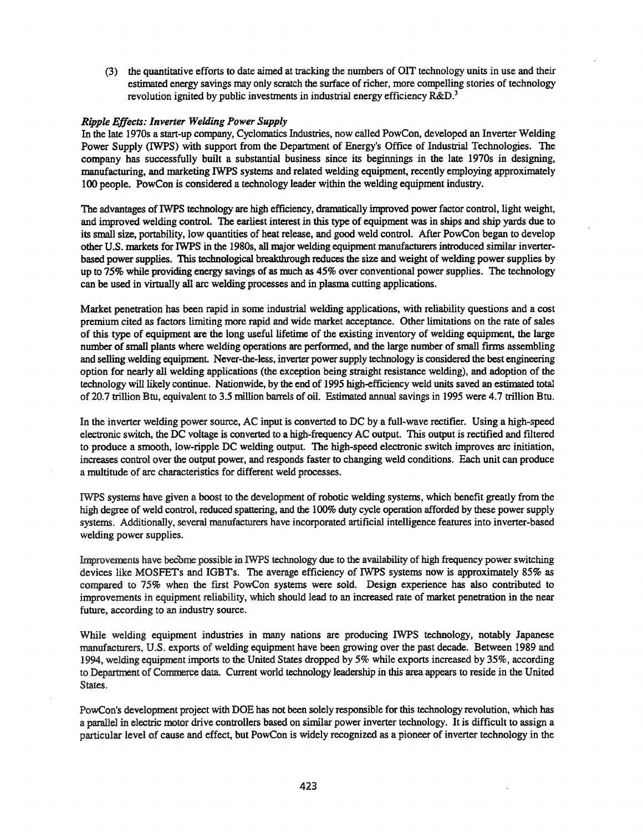(3) the quantitative efforts to date aimed at tracking the numbers of OIT technology units in use and their estimated energy savings may only scratch the surface of richer, more compelling stories of technology revolution ignited by public investments in industrial energy efficiency  $R\&D$ <sup>3</sup>

### *Ripple Effects: Inverter Welding Power Supply*

In the late 1970s a start-up company, Cyclomatics Industries, now called PowCon, developed an Inverter Welding Power Supply (IWPS) with support from the Department of Energy's Office of Industrial Technologies. The company has successfully built a substantial business since its beginnings in the late 1970s in designing, manufacturing, and marketing IWPS systems and related welding equipment, recently employing approximately 100 people. PowCon is considered a technology leader within the welding equipment industry.

The advantages of IWPS technology are high efficiency, dramatically improved power factor control, light weight, and improved welding control. The earliest interest in this type of equipment was in ships and ship yards due to its small size, portability, low quantities of heat release, and good weld control. After PowCon began to develop other U.S. markets for IWPS in the 19808, all major welding equipment manufacturers introduced similar inverterbased power supplies. This technological breakthrough reduces the size and weight of welding power supplies by up to 75% while providing energy savings of as much as 45% over conventional power supplies. The technology can be used in virtually all arc welding processes and in plasma cutting applications.

Market penetration has been rapid in some industrial welding applications, with reliability questions and a cost premium cited as factors limiting more rapid and wide market acceptance. Other limitations on the rate of sales of this type of equipment are the long useful lifetime of the existing inventory of welding equipment, the large number of small plants where welding operations are performed, and the large number of small firms assembling and selling welding equipment. Never-the-Iess, inverter powersupply technology is considered the best engineering option for nearly all welding applications (the exception being straight resistance welding), and adoption of the technology will likely continue. Nationwide, by the end of 1995 high-efficiency weld units saved an estimated total of 20.7 trillion Btu, equivalent to 3.5 million barrels of oil. Estimated annual savings in 1995 were 4.7 trillion Btu.

In the inverter welding power source, AC input is converted to DC by a full-wave rectifier. Using a high-speed electronic switch, the DC voltage is converted to a high-frequency AC output. This output is rectified and filtered to produce a smooth, low-ripple DC welding output. The high-speed electronic switch improves arc initiation, increases control over the output power, and responds faster to changing weld conditions. Each unit can produce a multitude of arc characteristics for different weld processes.

IWPS systems have given a boost to the development of robotic welding systems, which benefit greatly from the high degree of weld control, reduced spattering, and the 100% duty cycle operation afforded by these power supply systems. Additionally, several manufacturers have incorporated artificial intelligence features into inverter-based welding power supplies.

Improvements have becOme possible in IWPS technology due to the availability of high frequency power switching devices like MOSFETs and IGBTs. The average efficiency of IWPS systems now is approximately 85% as compared to 75% when the first PowCon systems were sold. Design experience has also contributed to improvements in equipment reliability, which should lead to an increased rate of market penetration in the near future, according to an industry source.

While welding equipment industries in many nations are producing IWPS technology, notably Japanese manufacturers, U.S. exports of welding equipment have been growing over the past decade. Between 1989 and 1994, welding equipment imports to the United States dropped by 5% while exports increased by 35%, according to Department of Commerce data Current world technology leadership in this area appears to reside in the United States.

PowCon's development project with DOE has not been solely responsible for this technology revolution, which has a parallel in electric motor drive controllers based on similar power inverter technology. It is difficult to assign a particular level of cause and effect, but PowCon is widely recognized as a pioneer of inverter technology in the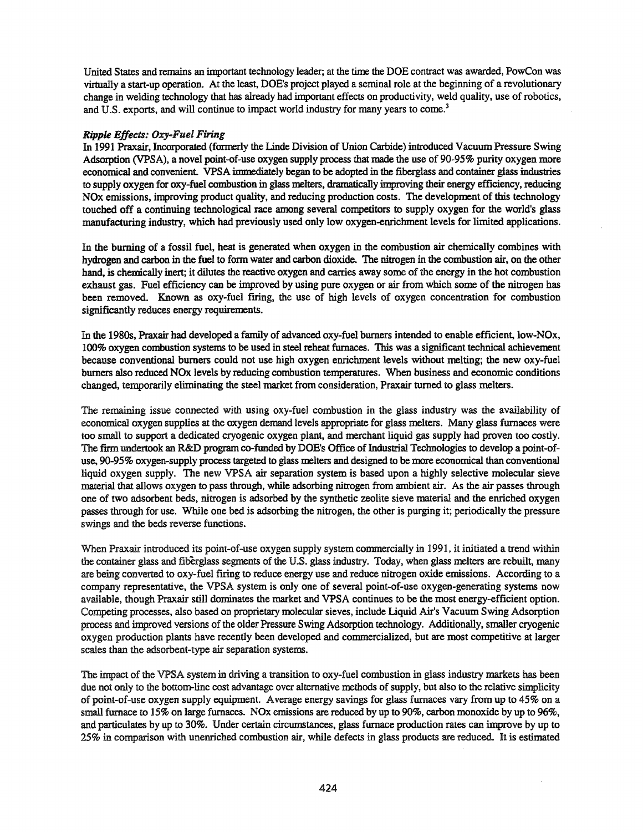United States and remains an important technology leader; at the time the DOE contract was awarded, PowCon was virtually a start-up operation. At the least, DOE's project played a seminal role at the beginning of a revolutionary change in welding technology that has already had important effects on productivity, weld quality, use of robotics, and U.S. exports, and will continue to impact world industry for many years to come.<sup>3</sup>

# *Ripple Effects: Oxy-Fuel Firing*

In 1991 Praxair, Incorporated (foonerly the Linde Division of Union Carbide) introduced Vacuum Pressure Swing Adsorption (VPSA), a novel point-of-use oxygen supply process that made the use of 90-95% purity oxygen more economical and convenient. VPSA irmnediately began to be adopted in the fiberglass and container glass industries to supply oxygen for oxy-fuel combustion in glass melters, dramatically improving their energy efficiency, reducing NOx emissions, improving product quality, and reducing production costs. The development of this technology touched off a continuing technological race among several competitors to supply oxygen for the world's glass manufacturing industry, which had previously used only low oxygen-enrichment levels for limited applications.

In the buming of a fossil fuel, heat is generated when oxygen in the combustion air chemically combines with hydrogen and carbon in the fuel to form water and carbon dioxide. The nitrogen in the combustion air, on the other hand, is chemically inert; it dilutes the reactive oxygen and carries away some of the energy in the hot combustion exhaust gas. Fuel efficiency can be improved by using pure oxygen or air from which some of the nitrogen has been removed. Known as oxy-fuel firing, the use of high levels of oxygen concentration for combustion significantly reduces energy requirements.

In the 19808, Praxair had developed a family of advanced oxy-fuel burners intended to enable efficient, 10w-NOx, 100% oxygen combustion systems to be used in steel reheat furnaces. This was a significant technical achievement because conventional burners could not use high oxygen enrichment levels without melting; the new oxy-fuel burners also reduced NOx levels by reducing combustion temperatures. When business and economic conditions changed, temporarily eliminating the steel market from consideration, Praxair turned to glass melters.

The remaining issue connected with using oxy-fuel combustion in the glass industry was the availability of economical oxygen supplies at the oxygen demand levels appropriate for glass melters. Many glass furnaces were too small to support a dedicated cryogenic oxygen plant, and merchant liquid gas supply had proven too costly. The firm undertook an R&D program co-funded by DOE's Office of Industrial Technologies to develop a point-ofuse, 90-95% oxygen-supply process targeted to glass melters and designed to be more economical than conventional liquid oxygen supply. The new VPSA air separation system is based upon a highly selective molecular sieve material that allows oxygen to pass through, while adsorbing nitrogen from ambient air. As the air passes through one of two adsorbent beds, nitrogen is adsorbed by the synthetic zeolite sieve material and the enriched oxygen passes through for use. While one bed is adsorbing the nitrogen, the other is purging it; periodically the pressure swings and the beds reverse functions.

When Praxair introduced its point-of-use oxygen supply system commercially in 1991, it initiated a trend within the container glass and fiberglass segments of the U.S. glass industry. Today, when glass melters are rebuilt, many are being converted to oxy-fuel firing to reduce energy use and reduce nitrogen oxide emissions. According to a company representative, the VPSA system is only one of several point-of-use oxygen-generating systems now available, though Praxair still dominates the market and VPSA continues to be the most energy-efficient option. Competing processes, also based on proprietary molecular sieves, include Liquid Air's Vacuum Swing Adsorption process and improved versions ofthe older Pressure Swing Adsorption technology. Additionally, smaller cryogenic oxygen production plants have recently been developed and commercialized, but are most competitive at larger scales than the adsorbent-type air separation systems.

The impact of the VPSA system in driving a transition to oxy-fuel combustion in glass industry markets has been due not only to the bottom-line cost advantage over alternative methods of supply, but also to the relative simplicity of point-of-use oxygen supply equipment. Average energy savings for glass furnaces vary from up to 45% on a small furnace to 15% on large furnaces. NOx emissions are reduced by up to 90%, carbon monoxide by up to 96%, and particulates by up to 30%. Under certain circumstances, glass furnace production rates can improve by up to 25% in comparison with unenriched combustion air, while defects in glass products are reduced. It is estimated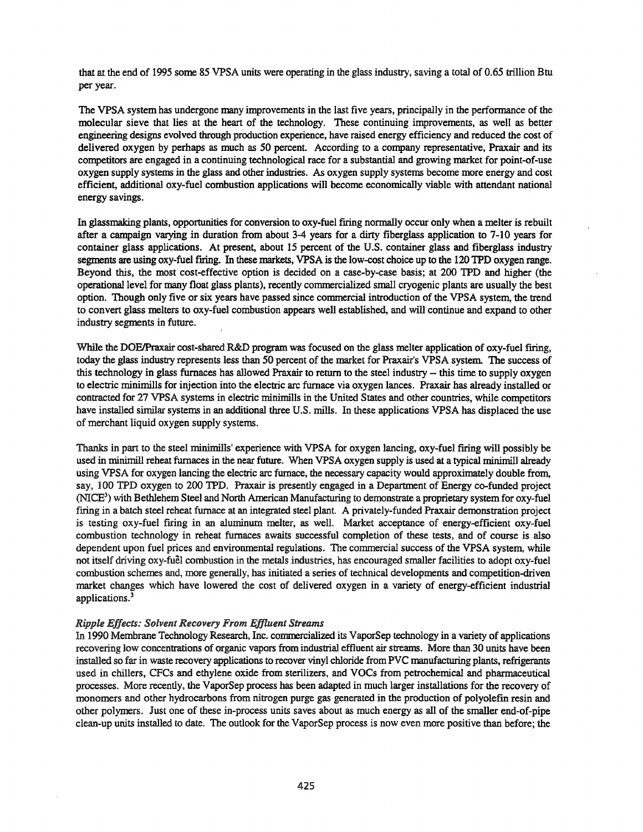that at the end of 1995 some 85 VPSA units were operating in the glass industry, saving a total of 0.65 trillion Btu per year.

The VPSA system has undergone many improvements in the last five years, principally in the performance of the molecular sieve that lies at the heart of the technology. These continuing improvements, as well as better engineering designs evolved through production experience, have raised energy efficiency and reduced the cost of delivered oxygen by perhaps as much as 50 percent. According to a company representative, Praxair and its competitors are engaged in a continuing technological race for a substantial and growing market for point-of-use oxygen supply systems in the glass and other industries. As oxygen supply systems become more energy and cost efficient, additional oxy-fuel combustion applications will become economically viable with attendant national energy savings.

In glassmaking plants, opportunities for conversion to oxy-fuel firing normally occur only when a melter is rebuilt after a campaign varying in duration from about 3-4 years for a dirty fiberglass application to 7-10 years for container glass applications. At present, about 15 percent of the U.S. container glass and fiberglass industry segments are using oxy-fuel firing. In these markets, VPSA is the low-cost choice up to the 120 TPD oxygen range. Beyond this, the most cost-effective option is decided on a case-by-case basis; at 200 TPD and higher (the operational level for many float glass plants), recently commercialized small cryogenic plants are usually the best option. Though only five or six years have passed since commercial introduction of the VPSA system, the trend to convert glass melters to oxy-fuel combustion appears well established, and will continue and expand to other industry segments in future.

While the DOE/Praxair cost-shared R&D program was focused on the glass melter application of oxy-fuel firing, today the glass industry represents less than 50 percent of the market for Praxair's VPSA system. The success of this technology in glass furnaces has allowed Praxair to return to the steel industry -- this time to supply oxygen to electric minimills for injection into the electric arc furnace via oxygen lances. Praxair has already installed or contracted for 27 VPSA systems in electric minimills in the United States and other countries, while competitors have installed similar systems in an additional three U.S. mills. In these applications VPSA has displaced the use of merchant liquid oxygen supply systems.

Thanks in part to the steel minimills' experience with VPSA for oxygen lancing, oxy-fuel firing will possibly be used in minimill reheat furnaces in the near future. When VPSA oxygen supply is used at a typical minimill already using VPSA for oxygen lancing the electric arc furnace, the necessary capacity would approximately double from, say, 100 TPD oxygen to 200 TPD. Praxair is presently engaged in a Department of Energy co-funded project (NICE<sup>3</sup>) with Bethlehem Steel and North American Manufacturing to demonstrate a proprietary system for oxy-fuel firing in a batch steel reheat furnace at an integrated steel plant. A privately-funded Praxair demonstration project is testing oxy-fuel firing in an aluminum melter, as well. Market acceptance of energy-efficient oxy-fuel combustion technology in reheat furnaces awaits successful completion of these tests, and of course is also dependent upon fuel prices and environmental regulations. The commercial success of the VPSA system, while not itself driving oxy-fuel combustion in the metals industries, has encouraged smaller facilities to adopt oxy-fuel combustion schemes and, more generally, has initiated a series of technical developments and competition-driven market changes which have lowered the cost of delivered oxygen in a variety of energy-efficient industrial applications.<sup>3</sup>

#### *Ripple Effects: Solvent Recovery From Effluent Streams*

In 1990 Membrane Technology Research, Inc. commercialized its VaporSep technology in a variety of applications recovering low concentrations of organic vapors from industrial effluent air streams. More than 30 units have been installed so far in waste recovery applications to recover vinyl chloride from PVC manufacturing plants, refrigerants used in chillers, CFCs and ethylene oxide from sterilizers, and VOCs from petrochemical and pharmaceutical processes. More recently, the VaporSep process has been adapted in much larger installations for the recovery of monomers and other hydrocarbons from nitrogen purge gas generated in the production of polyolefin resin and other polymers. Just one of these in-process units saves about as much energy as all of the smaller end-of-pipe clean-up units installed to date. The outlook for the VaporSep process is now even more positive than before; the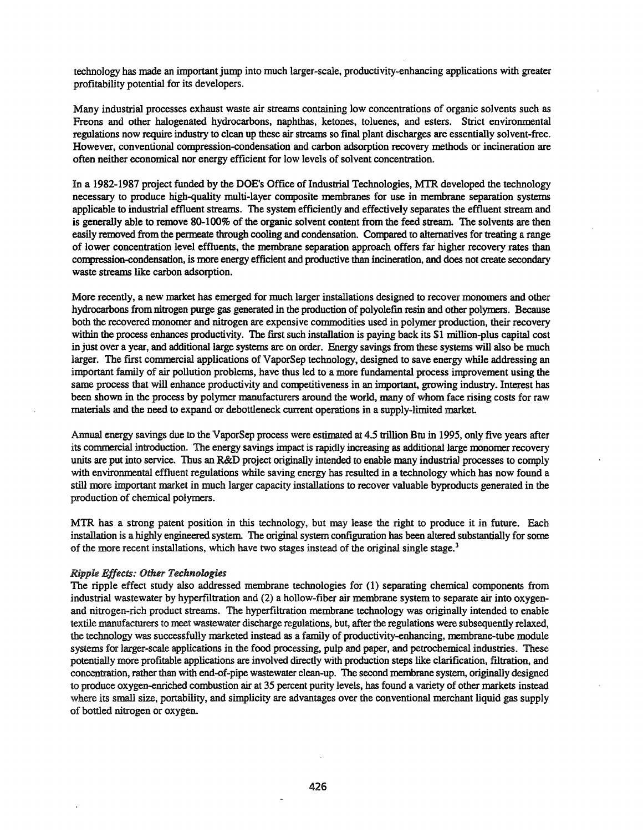technology has made an important jump into much larger-scale, productivity-enhancing applications with greater profitability potential for its developers.

Many industrial processes exhaust waste air streams containing low concentrations of organic solvents such as Freons and other halogenated hydrocarbons, naphthas, ketones, toluenes, and esters. Strict environmental regulations now require industry to clean up these air streams so final plant discharges are essentially solvent-free. However, conventional compression-condensation and carbon adsorption recovery methods or incineration are often neither economical nor energy efficient for low levels of solvent concentration.

In a 1982-1987 project funded by the DOE's Office of Industrial Technologies, M1R developed the technology necessary to produce high-quality multi-layer composite membranes for use in membrane separation systems applicable to industrial effluent streams. The system efficiently and effectively separates the effluent stream and is generally able to remove 80-100% of the organic solvent content from the feed stream. The solvents are then easily removed from the permeate through cooling and condensation. Compared to alternatives for treating a range of lower concentration level effluents, the membrane separation approach offers far higher recovery rates than compression-condensation, is more energy efficient and productive than incineration, and does not create secondary waste streams like carbon adsorption.

More recently, a new market has emerged for much larger installations designed to recover monomers and other hydrocarbons from nitrogen purge gas generated in the production of polyolefm resin and other polymers. Because both the recovered monomer and nitrogen are expensive commodities used in polymer production, their recovery within the process enhances productivity. The first such installation is paying back its \$1 million-plus capital cost in just over a year, and additional large systems are on order. Energy savings from these systems will also be much larger. The first commercial applications of VaporSep technology, designed to save energy while addressing an important family of air pollution problems, have thus led to a more fundamental process improvement using the same process that will enhance productivity and competitiveness in an important, growing industry. Interest has been shown in the process by polymer manufacturers around the world, many of whom face rising costs for raw materials and the need to expand or debottleneck current operations in a supply-limited market

Annual energy savings due to the VaporSep process were estimated at 4.5 trillion Btu in 1995, only five years after its commercial introduction. The energy savings impact is rapidly increasing as additional large monomer recovery units are put into service. Thus an R&D project originally intended to enable many industrial processes to comply with environmental effluent regulations while saving energy has resulted in a technology which has now found a still more important market in much larger capacity installations to recover valuable byproducts generated in the production of chemical polymers.

MTR has a strong patent position in this technology, but may lease the right to produce it in future. Each installation is a highly engineered system. The original system configuration has been altered substantially for some of the more recent installations, which have two stages instead of the original single stage.<sup>3</sup>

### *Ripple Effects: Other Technologies*

The ripple effect study also addressed membrane technologies for (1) separating chemical components from industrial wastewater by hyperfiltration and (2) a hollow-fiber air membrane system to separate air into oxygenand nitrogen-rich product streams. The hyperfiltration membrane technology was originally intended to enable textile manufacturers to meet wastewater discharge regulations, but, after the regulations were subsequently relaxed, the technology was successfully marketed instead as a family of productivity-enhancing, membrane-tube module systems for larger-scale applications in the food processing, pulp and paper, and petrochemical industries. These potentially more profitable applications are involved directly with production steps like clarification, flltration, and concentration, rather than with end-of-pipe wastewater clean-up. The second membrane system, originally designed to produce oxygen-enriched combustion air at 35 percent purity levels, has found a variety of other markets instead where its small size, portability, and simplicity are advantages over the conventional merchant liquid gas supply of bottled nitrogen or oxygen.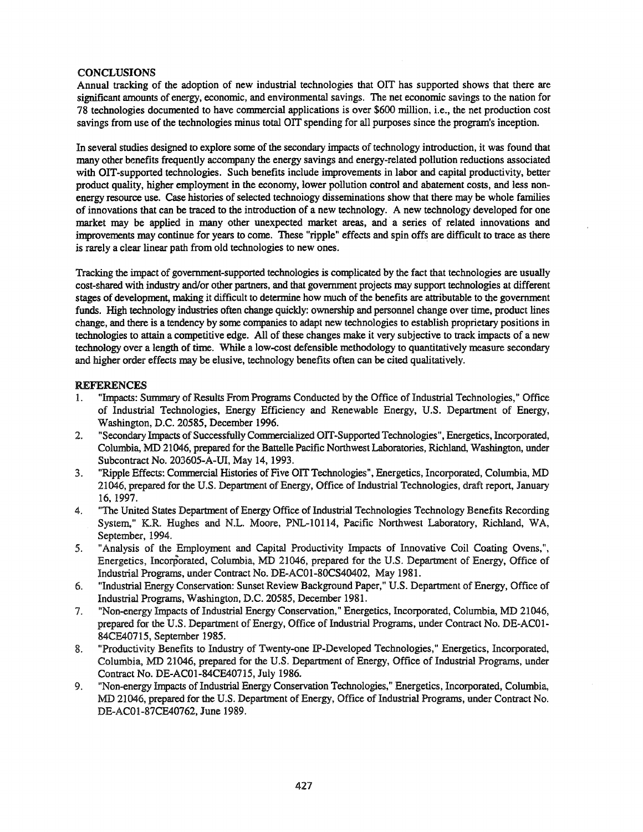# **CONCLUSIONS**

Annual tracking of the adoption of new industrial technologies that OIT has supported shows that there are significant amounts of energy, economic, and environmental savings. The net economic savings to the nation for 78 technologies documented to have commercial applications is over \$600 million, Le., the net production cost savings from use of the technologies minus total OIT spending for all purposes since the program's inception.

In several studies designed to explore some of the secondary impacts of technology introduction, it was found that many other benefits frequently accompany the energy savings and energy-related pollution reductions associated with OIT-supported technologies. Such benefits include improvements in labor and capital productivity, better product quality, higher employment in the economy, lower pollution control and abatement costs, and less nonenergy resource use. Case histories of selected technology disseminations show that there may be whole families of innovations that can be traced to the introduction of a new technology. A new technology developed for one market may be applied in many other unexpected market areas, and a series of related innovations and improvements may continue for years to come. These "ripple" effects and spin offs are difficult to trace as there is rarely a clear linear path from old technologies to new ones.

Tracking the impact of government-supported technologies is complicated by the fact that technologies are usually cost-shared with industry andlor other partners, and that government projects may support technologies at different stages of development, making it difficult to determine how much of the benefits are attributable to the government funds. High technology industries often change quickly: ownership and personnel change over time, product lines change, and there is a tendency by some companies to adapt new technologies to establish proprietary positions in technologies to attain a competitive edge. All of these changes make it very subjective to track impacts of a new technology over a length of time. While a low-cost defensible methodology to quantitatively measure secondary and higher order effects may be elusive, technology benefits often can be cited qualitatively.

## REFERENCES

- 1. "Impacts: Summary of Results From Programs Conducted by the Office of Industrial Technologies," Office of Industrial Technologies, Energy Efficiency and Renewable Energy, U.S. Department of Energy, Washington, D.C. 20585, December 1996.
- 2. "Secondary Impacts of Successfully Commercialized OIT-Supported Technologies", Energetics, Incorporated, Columbia, MD 21046, prepared for the Battelle Pacific Northwest Laboratories, Richland, Washington, under Subcontract No. 203605-A-UI, May 14, 1993.
- 3. "Ripple Effects: Commercial Histories of Five OITTechnologies", Energetics, Incorporated, Columbia, MD 21046, prepared for the U.S. Department of Energy, Office of Industrial Technologies, draft report, January 16, 1997.
- 4. "The United States Department of Energy Office of Industrial Technologies Technology Benefits Recording System," K.R. Hughes and N.L. Moore, PNL-I0114, Pacific Northwest Laboratory, Richland, WA, September, 1994.
- 5. "Analysis of the Employment and Capital Productivity Impacts of Innovative Coil Coating Ovens,", Energetics, Incorporated, Columbia, MD 21046, prepared for the U.S. Department of Energy, Office of Industrial Programs, under Contract No. DE-ACOI-8OCS40402, May 1981.
- 6. "Industrial Energy Conservation: Sunset Review Background Paper," U.S. Department of Energy, Office of Industrial Programs, Washington, D.C. 20585, December 1981.
- 7. "Non-energy Impacts of Industrial Energy Conservation," Energetics, Incorporated, Columbia, MD 21046, prepared for the U.S. Department of Energy, Office of Industrial Programs, under Contract No. DE-AC01- 84CE40715, September 1985.
- 8. "Productivity Benefits to Industry of Twenty-one IP-Developed Technologies," Energetics, Incorporated, Columbia, MD 21046, prepared for the U.S. Department of Energy, Office of Industrial Programs, under Contract No. DE-ACOI-84CE40715, July 1986.
- 9. "Non-energy Impacts of Industrial Energy Conservation Technologies," Energetics, Incorporated, Columbia, MD 21046, prepared for the U.S. Department of Energy, Office of Industrial Programs, under Contract No. DE-ACOl-87CE40762, June 1989.